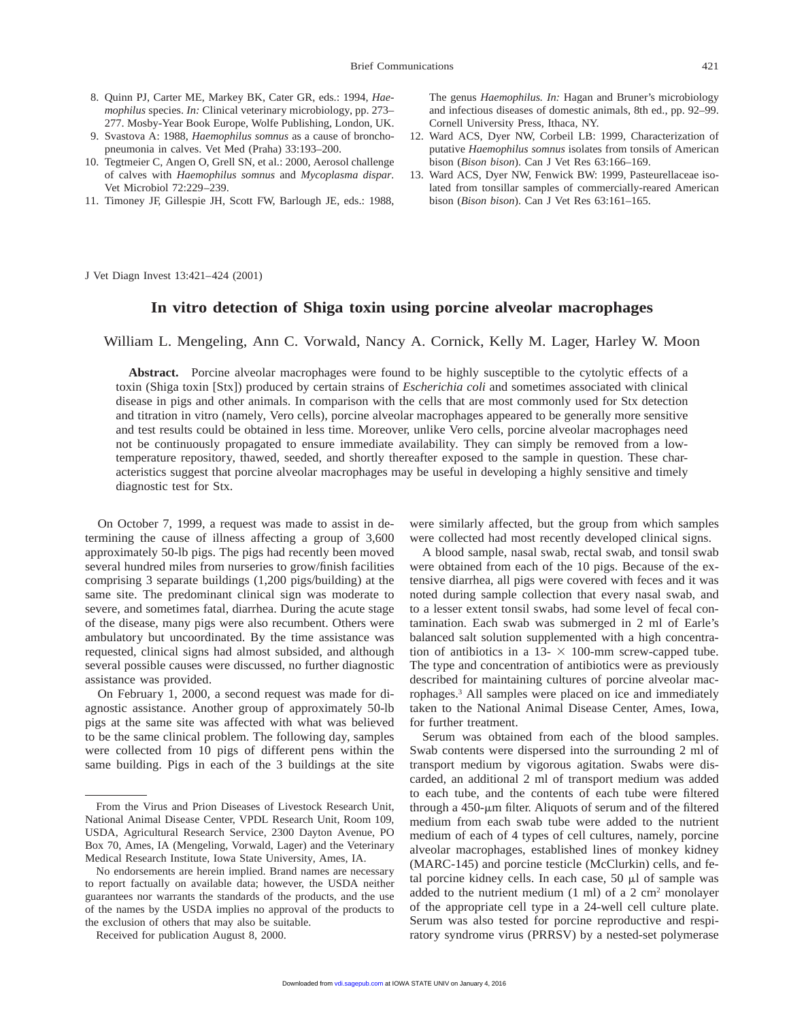- 8. Quinn PJ, Carter ME, Markey BK, Cater GR, eds.: 1994, *Haemophilus* species. *In:* Clinical veterinary microbiology, pp. 273– 277. Mosby-Year Book Europe, Wolfe Publishing, London, UK.
- 9. Svastova A: 1988, *Haemophilus somnus* as a cause of bronchopneumonia in calves. Vet Med (Praha) 33:193–200.
- 10. Tegtmeier C, Angen O, Grell SN, et al.: 2000, Aerosol challenge of calves with *Haemophilus somnus* and *Mycoplasma dispar.* Vet Microbiol 72:229–239.
- 11. Timoney JF, Gillespie JH, Scott FW, Barlough JE, eds.: 1988,

The genus *Haemophilus. In:* Hagan and Bruner's microbiology and infectious diseases of domestic animals, 8th ed., pp. 92–99. Cornell University Press, Ithaca, NY.

- 12. Ward ACS, Dyer NW, Corbeil LB: 1999, Characterization of putative *Haemophilus somnus* isolates from tonsils of American bison (*Bison bison*). Can J Vet Res 63:166–169.
- 13. Ward ACS, Dyer NW, Fenwick BW: 1999, Pasteurellaceae isolated from tonsillar samples of commercially-reared American bison (*Bison bison*). Can J Vet Res 63:161–165.

J Vet Diagn Invest 13:421–424 (2001)

## **In vitro detection of Shiga toxin using porcine alveolar macrophages**

William L. Mengeling, Ann C. Vorwald, Nancy A. Cornick, Kelly M. Lager, Harley W. Moon

**Abstract.** Porcine alveolar macrophages were found to be highly susceptible to the cytolytic effects of a toxin (Shiga toxin [Stx]) produced by certain strains of *Escherichia coli* and sometimes associated with clinical disease in pigs and other animals. In comparison with the cells that are most commonly used for Stx detection and titration in vitro (namely, Vero cells), porcine alveolar macrophages appeared to be generally more sensitive and test results could be obtained in less time. Moreover, unlike Vero cells, porcine alveolar macrophages need not be continuously propagated to ensure immediate availability. They can simply be removed from a lowtemperature repository, thawed, seeded, and shortly thereafter exposed to the sample in question. These characteristics suggest that porcine alveolar macrophages may be useful in developing a highly sensitive and timely diagnostic test for Stx.

On October 7, 1999, a request was made to assist in determining the cause of illness affecting a group of 3,600 approximately 50-lb pigs. The pigs had recently been moved several hundred miles from nurseries to grow/finish facilities comprising 3 separate buildings (1,200 pigs/building) at the same site. The predominant clinical sign was moderate to severe, and sometimes fatal, diarrhea. During the acute stage of the disease, many pigs were also recumbent. Others were ambulatory but uncoordinated. By the time assistance was requested, clinical signs had almost subsided, and although several possible causes were discussed, no further diagnostic assistance was provided.

On February 1, 2000, a second request was made for diagnostic assistance. Another group of approximately 50-lb pigs at the same site was affected with what was believed to be the same clinical problem. The following day, samples were collected from 10 pigs of different pens within the same building. Pigs in each of the 3 buildings at the site

were similarly affected, but the group from which samples were collected had most recently developed clinical signs.

A blood sample, nasal swab, rectal swab, and tonsil swab were obtained from each of the 10 pigs. Because of the extensive diarrhea, all pigs were covered with feces and it was noted during sample collection that every nasal swab, and to a lesser extent tonsil swabs, had some level of fecal contamination. Each swab was submerged in 2 ml of Earle's balanced salt solution supplemented with a high concentration of antibiotics in a  $13- \times 100$ -mm screw-capped tube. The type and concentration of antibiotics were as previously described for maintaining cultures of porcine alveolar macrophages.3 All samples were placed on ice and immediately taken to the National Animal Disease Center, Ames, Iowa, for further treatment.

Serum was obtained from each of the blood samples. Swab contents were dispersed into the surrounding 2 ml of transport medium by vigorous agitation. Swabs were discarded, an additional 2 ml of transport medium was added to each tube, and the contents of each tube were filtered through a  $450$ - $\mu$ m filter. Aliquots of serum and of the filtered medium from each swab tube were added to the nutrient medium of each of 4 types of cell cultures, namely, porcine alveolar macrophages, established lines of monkey kidney (MARC-145) and porcine testicle (McClurkin) cells, and fetal porcine kidney cells. In each case,  $50 \mu l$  of sample was added to the nutrient medium  $(1 \text{ ml})$  of a 2 cm<sup>2</sup> monolayer of the appropriate cell type in a 24-well cell culture plate. Serum was also tested for porcine reproductive and respiratory syndrome virus (PRRSV) by a nested-set polymerase

From the Virus and Prion Diseases of Livestock Research Unit, National Animal Disease Center, VPDL Research Unit, Room 109, USDA, Agricultural Research Service, 2300 Dayton Avenue, PO Box 70, Ames, IA (Mengeling, Vorwald, Lager) and the Veterinary Medical Research Institute, Iowa State University, Ames, IA.

No endorsements are herein implied. Brand names are necessary to report factually on available data; however, the USDA neither guarantees nor warrants the standards of the products, and the use of the names by the USDA implies no approval of the products to the exclusion of others that may also be suitable.

Received for publication August 8, 2000.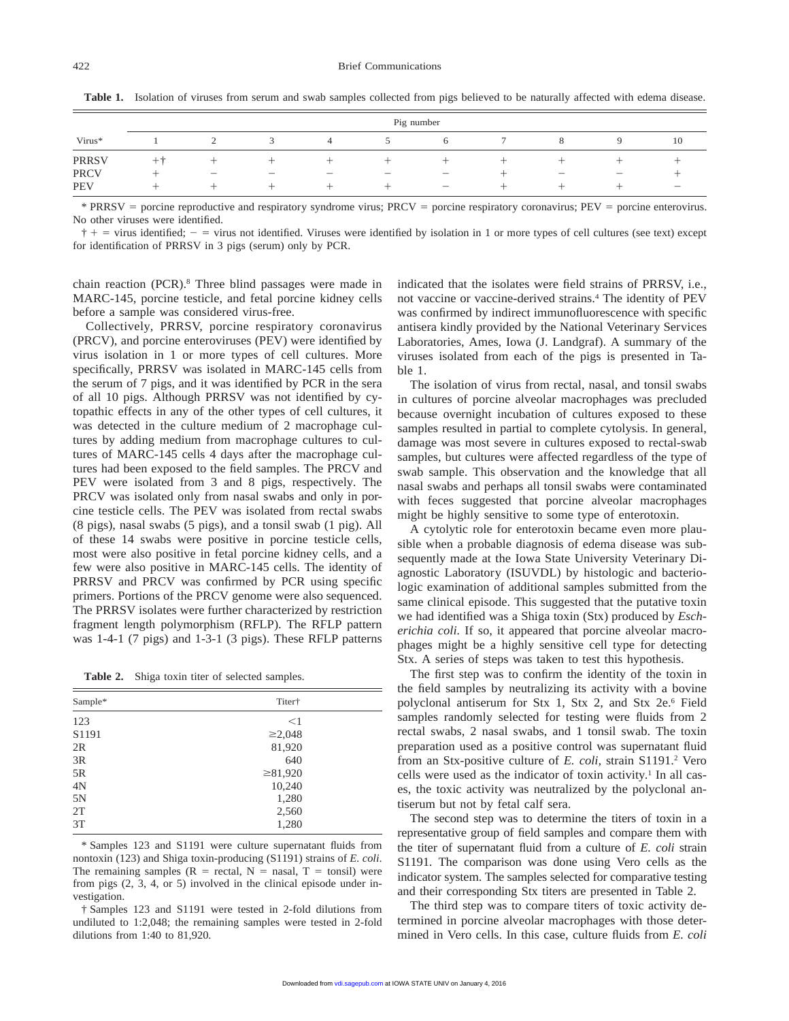|              | Pig number |  |   |                          |  |                                |  |                          |  |                          |  |
|--------------|------------|--|---|--------------------------|--|--------------------------------|--|--------------------------|--|--------------------------|--|
| Virus*       |            |  |   | $\overline{4}$           |  | 6                              |  | ŏ                        |  | 10                       |  |
| <b>PRRSV</b> | $++$       |  |   |                          |  |                                |  |                          |  |                          |  |
| <b>PRCV</b>  |            |  | – | $\overline{\phantom{0}}$ |  | $\qquad \qquad \longleftarrow$ |  | $\overline{\phantom{0}}$ |  |                          |  |
| <b>PEV</b>   |            |  |   |                          |  | —                              |  |                          |  | $\overline{\phantom{0}}$ |  |

**Table 1.** Isolation of viruses from serum and swab samples collected from pigs believed to be naturally affected with edema disease.

\* PRRSV = porcine reproductive and respiratory syndrome virus; PRCV = porcine respiratory coronavirus; PEV = porcine enterovirus. No other viruses were identified.

 $\dagger$  + = virus identified; - = virus not identified. Viruses were identified by isolation in 1 or more types of cell cultures (see text) except for identification of PRRSV in 3 pigs (serum) only by PCR.

chain reaction (PCR).8 Three blind passages were made in MARC-145, porcine testicle, and fetal porcine kidney cells before a sample was considered virus-free.

Collectively, PRRSV, porcine respiratory coronavirus (PRCV), and porcine enteroviruses (PEV) were identified by virus isolation in 1 or more types of cell cultures. More specifically, PRRSV was isolated in MARC-145 cells from the serum of 7 pigs, and it was identified by PCR in the sera of all 10 pigs. Although PRRSV was not identified by cytopathic effects in any of the other types of cell cultures, it was detected in the culture medium of 2 macrophage cultures by adding medium from macrophage cultures to cultures of MARC-145 cells 4 days after the macrophage cultures had been exposed to the field samples. The PRCV and PEV were isolated from 3 and 8 pigs, respectively. The PRCV was isolated only from nasal swabs and only in porcine testicle cells. The PEV was isolated from rectal swabs (8 pigs), nasal swabs (5 pigs), and a tonsil swab (1 pig). All of these 14 swabs were positive in porcine testicle cells, most were also positive in fetal porcine kidney cells, and a few were also positive in MARC-145 cells. The identity of PRRSV and PRCV was confirmed by PCR using specific primers. Portions of the PRCV genome were also sequenced. The PRRSV isolates were further characterized by restriction fragment length polymorphism (RFLP). The RFLP pattern was 1-4-1 (7 pigs) and 1-3-1 (3 pigs). These RFLP patterns

Table 2. Shiga toxin titer of selected samples.

| Sample* | Titer†        |  |
|---------|---------------|--|
| 123     | $<$ 1         |  |
| S1191   | $\geq 2,048$  |  |
| 2R      | 81,920        |  |
| 3R      | 640           |  |
| 5R      | $\geq 81,920$ |  |
| 4N      | 10,240        |  |
| 5N      | 1,280         |  |
| 2T      | 2,560         |  |
| 3T      | 1,280         |  |
|         |               |  |

\* Samples 123 and S1191 were culture supernatant fluids from nontoxin (123) and Shiga toxin-producing (S1191) strains of *E. coli*. The remaining samples  $(R = \text{rectal}, N = \text{nasal}, T = \text{tonsil})$  were from pigs (2, 3, 4, or 5) involved in the clinical episode under investigation.

† Samples 123 and S1191 were tested in 2-fold dilutions from undiluted to 1:2,048; the remaining samples were tested in 2-fold dilutions from 1:40 to 81,920.

indicated that the isolates were field strains of PRRSV, i.e., not vaccine or vaccine-derived strains.4 The identity of PEV was confirmed by indirect immunofluorescence with specific antisera kindly provided by the National Veterinary Services Laboratories, Ames, Iowa (J. Landgraf). A summary of the viruses isolated from each of the pigs is presented in Table 1.

The isolation of virus from rectal, nasal, and tonsil swabs in cultures of porcine alveolar macrophages was precluded because overnight incubation of cultures exposed to these samples resulted in partial to complete cytolysis. In general, damage was most severe in cultures exposed to rectal-swab samples, but cultures were affected regardless of the type of swab sample. This observation and the knowledge that all nasal swabs and perhaps all tonsil swabs were contaminated with feces suggested that porcine alveolar macrophages might be highly sensitive to some type of enterotoxin.

A cytolytic role for enterotoxin became even more plausible when a probable diagnosis of edema disease was subsequently made at the Iowa State University Veterinary Diagnostic Laboratory (ISUVDL) by histologic and bacteriologic examination of additional samples submitted from the same clinical episode. This suggested that the putative toxin we had identified was a Shiga toxin (Stx) produced by *Escherichia coli.* If so, it appeared that porcine alveolar macrophages might be a highly sensitive cell type for detecting Stx. A series of steps was taken to test this hypothesis.

The first step was to confirm the identity of the toxin in the field samples by neutralizing its activity with a bovine polyclonal antiserum for Stx 1, Stx 2, and Stx 2e.6 Field samples randomly selected for testing were fluids from 2 rectal swabs, 2 nasal swabs, and 1 tonsil swab. The toxin preparation used as a positive control was supernatant fluid from an Stx-positive culture of *E. coli,* strain S1191.2 Vero cells were used as the indicator of toxin activity.<sup>1</sup> In all cases, the toxic activity was neutralized by the polyclonal antiserum but not by fetal calf sera.

The second step was to determine the titers of toxin in a representative group of field samples and compare them with the titer of supernatant fluid from a culture of *E. coli* strain S1191. The comparison was done using Vero cells as the indicator system. The samples selected for comparative testing and their corresponding Stx titers are presented in Table 2.

The third step was to compare titers of toxic activity determined in porcine alveolar macrophages with those determined in Vero cells. In this case, culture fluids from *E. coli*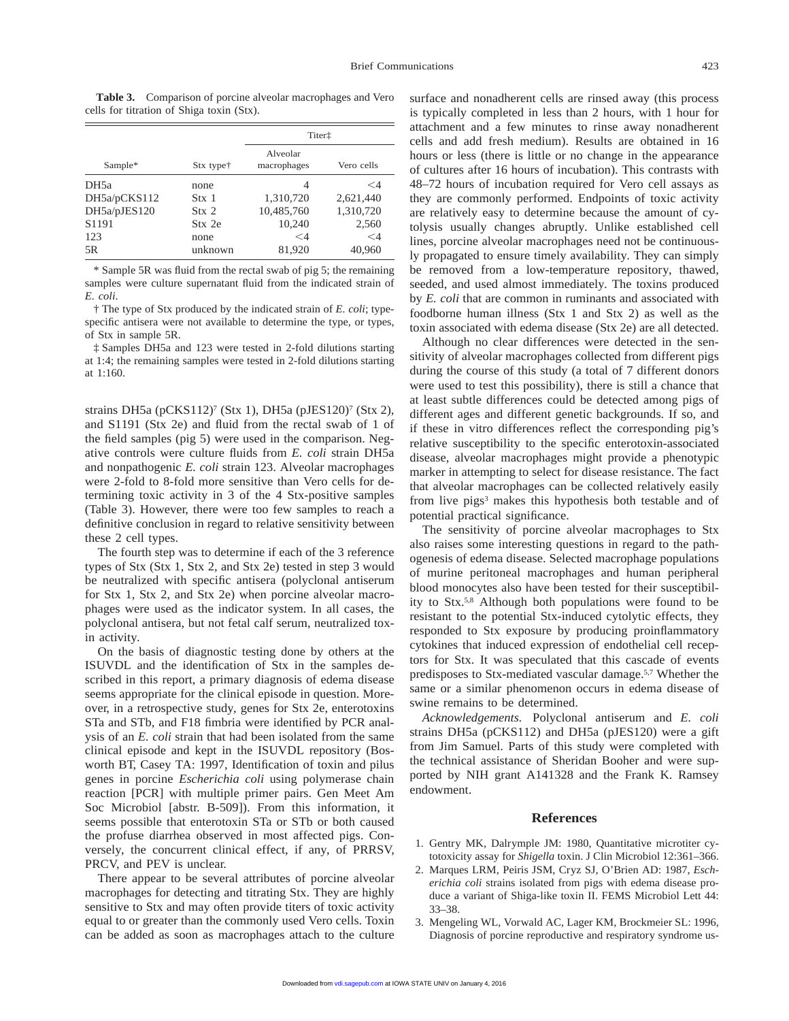**Table 3.** Comparison of porcine alveolar macrophages and Vero cells for titration of Shiga toxin (Stx).

|                  |                       | Titer <sup>†</sup>      |            |  |
|------------------|-----------------------|-------------------------|------------|--|
| Sample*          | Stx type <sup>†</sup> | Alveolar<br>macrophages | Vero cells |  |
| DH <sub>5a</sub> | none                  | 4                       | $\leq 4$   |  |
| DH5a/pCKS112     | Stx 1                 | 1,310,720               | 2,621,440  |  |
| DH5a/pJES120     | Stx 2                 | 10,485,760              | 1,310,720  |  |
| S1191            | Stx 2e                | 10,240                  | 2,560      |  |
| 123              | none                  | $\leq$ 4                | $\leq 4$   |  |
| 5R               | unknown               | 81,920                  | 40.960     |  |

\* Sample 5R was fluid from the rectal swab of pig 5; the remaining samples were culture supernatant fluid from the indicated strain of *E. coli*.

† The type of Stx produced by the indicated strain of *E. coli*; typespecific antisera were not available to determine the type, or types, of Stx in sample 5R.

‡ Samples DH5a and 123 were tested in 2-fold dilutions starting at 1:4; the remaining samples were tested in 2-fold dilutions starting at 1:160.

strains DH5a (pCKS112)<sup>7</sup> (Stx 1), DH5a (pJES120)<sup>7</sup> (Stx 2), and S1191 (Stx 2e) and fluid from the rectal swab of 1 of the field samples (pig 5) were used in the comparison. Negative controls were culture fluids from *E. coli* strain DH5a and nonpathogenic *E. coli* strain 123. Alveolar macrophages were 2-fold to 8-fold more sensitive than Vero cells for determining toxic activity in 3 of the 4 Stx-positive samples (Table 3). However, there were too few samples to reach a definitive conclusion in regard to relative sensitivity between these 2 cell types.

The fourth step was to determine if each of the 3 reference types of Stx (Stx 1, Stx 2, and Stx 2e) tested in step 3 would be neutralized with specific antisera (polyclonal antiserum for Stx 1, Stx 2, and Stx 2e) when porcine alveolar macrophages were used as the indicator system. In all cases, the polyclonal antisera, but not fetal calf serum, neutralized toxin activity.

On the basis of diagnostic testing done by others at the ISUVDL and the identification of Stx in the samples described in this report, a primary diagnosis of edema disease seems appropriate for the clinical episode in question. Moreover, in a retrospective study, genes for Stx 2e, enterotoxins STa and STb, and F18 fimbria were identified by PCR analysis of an *E. coli* strain that had been isolated from the same clinical episode and kept in the ISUVDL repository (Bosworth BT, Casey TA: 1997, Identification of toxin and pilus genes in porcine *Escherichia coli* using polymerase chain reaction [PCR] with multiple primer pairs. Gen Meet Am Soc Microbiol [abstr. B-509]). From this information, it seems possible that enterotoxin STa or STb or both caused the profuse diarrhea observed in most affected pigs. Conversely, the concurrent clinical effect, if any, of PRRSV, PRCV, and PEV is unclear.

There appear to be several attributes of porcine alveolar macrophages for detecting and titrating Stx. They are highly sensitive to Stx and may often provide titers of toxic activity equal to or greater than the commonly used Vero cells. Toxin can be added as soon as macrophages attach to the culture

surface and nonadherent cells are rinsed away (this process is typically completed in less than 2 hours, with 1 hour for attachment and a few minutes to rinse away nonadherent cells and add fresh medium). Results are obtained in 16 hours or less (there is little or no change in the appearance of cultures after 16 hours of incubation). This contrasts with 48–72 hours of incubation required for Vero cell assays as they are commonly performed. Endpoints of toxic activity are relatively easy to determine because the amount of cytolysis usually changes abruptly. Unlike established cell lines, porcine alveolar macrophages need not be continuously propagated to ensure timely availability. They can simply be removed from a low-temperature repository, thawed, seeded, and used almost immediately. The toxins produced by *E. coli* that are common in ruminants and associated with foodborne human illness (Stx 1 and Stx 2) as well as the toxin associated with edema disease (Stx 2e) are all detected.

Although no clear differences were detected in the sensitivity of alveolar macrophages collected from different pigs during the course of this study (a total of 7 different donors were used to test this possibility), there is still a chance that at least subtle differences could be detected among pigs of different ages and different genetic backgrounds. If so, and if these in vitro differences reflect the corresponding pig's relative susceptibility to the specific enterotoxin-associated disease, alveolar macrophages might provide a phenotypic marker in attempting to select for disease resistance. The fact that alveolar macrophages can be collected relatively easily from live pigs<sup>3</sup> makes this hypothesis both testable and of potential practical significance.

The sensitivity of porcine alveolar macrophages to Stx also raises some interesting questions in regard to the pathogenesis of edema disease. Selected macrophage populations of murine peritoneal macrophages and human peripheral blood monocytes also have been tested for their susceptibility to Stx.5,8 Although both populations were found to be resistant to the potential Stx-induced cytolytic effects, they responded to Stx exposure by producing proinflammatory cytokines that induced expression of endothelial cell receptors for Stx. It was speculated that this cascade of events predisposes to Stx-mediated vascular damage.5,7 Whether the same or a similar phenomenon occurs in edema disease of swine remains to be determined.

*Acknowledgements.* Polyclonal antiserum and *E. coli* strains DH5a (pCKS112) and DH5a (pJES120) were a gift from Jim Samuel. Parts of this study were completed with the technical assistance of Sheridan Booher and were supported by NIH grant A141328 and the Frank K. Ramsey endowment.

## **References**

- 1. Gentry MK, Dalrymple JM: 1980, Quantitative microtiter cytotoxicity assay for *Shigella* toxin. J Clin Microbiol 12:361–366.
- 2. Marques LRM, Peiris JSM, Cryz SJ, O'Brien AD: 1987, *Escherichia coli* strains isolated from pigs with edema disease produce a variant of Shiga-like toxin II. FEMS Microbiol Lett 44: 33–38.
- 3. Mengeling WL, Vorwald AC, Lager KM, Brockmeier SL: 1996, Diagnosis of porcine reproductive and respiratory syndrome us-